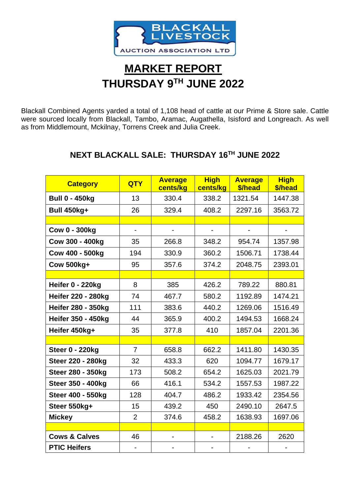

## **MARKET REPORT THURSDAY 9 TH JUNE 2022**

Blackall Combined Agents yarded a total of 1,108 head of cattle at our Prime & Store sale. Cattle were sourced locally from Blackall, Tambo, Aramac, Augathella, Isisford and Longreach. As well as from Middlemount, Mckilnay, Torrens Creek and Julia Creek.

## **NEXT BLACKALL SALE: THURSDAY 16TH JUNE 2022**

| <b>Category</b>           | <b>QTY</b>     | <b>Average</b><br>cents/kg | <b>High</b><br>cents/kg | <b>Average</b><br>\$/head | <b>High</b><br>\$/head |
|---------------------------|----------------|----------------------------|-------------------------|---------------------------|------------------------|
| <b>Bull 0 - 450kg</b>     | 13             | 330.4                      | 338.2                   | 1321.54                   | 1447.38                |
| <b>Bull 450kg+</b>        | 26             | 329.4                      | 408.2                   | 2297.16                   | 3563.72                |
|                           |                |                            |                         |                           |                        |
| <b>Cow 0 - 300kg</b>      |                |                            |                         |                           |                        |
| Cow 300 - 400kg           | 35             | 266.8                      | 348.2                   | 954.74                    | 1357.98                |
| Cow 400 - 500kg           | 194            | 330.9                      | 360.2                   | 1506.71                   | 1738.44                |
| <b>Cow 500kg+</b>         | 95             | 357.6                      | 374.2                   | 2048.75                   | 2393.01                |
|                           |                |                            |                         |                           |                        |
| Heifer 0 - 220kg          | 8              | 385                        | 426.2                   | 789.22                    | 880.81                 |
| <b>Heifer 220 - 280kg</b> | 74             | 467.7                      | 580.2                   | 1192.89                   | 1474.21                |
| <b>Heifer 280 - 350kg</b> | 111            | 383.6                      | 440.2                   | 1269.06                   | 1516.49                |
| <b>Heifer 350 - 450kg</b> | 44             | 365.9                      | 400.2                   | 1494.53                   | 1668.24                |
| Heifer 450kg+             | 35             | 377.8                      | 410                     | 1857.04                   | 2201.36                |
|                           |                |                            |                         |                           |                        |
| <b>Steer 0 - 220kg</b>    | $\overline{7}$ | 658.8                      | 662.2                   | 1411.80                   | 1430.35                |
| <b>Steer 220 - 280kg</b>  | 32             | 433.3                      | 620                     | 1094.77                   | 1679.17                |
| <b>Steer 280 - 350kg</b>  | 173            | 508.2                      | 654.2                   | 1625.03                   | 2021.79                |
| <b>Steer 350 - 400kg</b>  | 66             | 416.1                      | 534.2                   | 1557.53                   | 1987.22                |
| <b>Steer 400 - 550kg</b>  | 128            | 404.7                      | 486.2                   | 1933.42                   | 2354.56                |
| Steer 550kg+              | 15             | 439.2                      | 450                     | 2490.10                   | 2647.5                 |
| <b>Mickey</b>             | 2              | 374.6                      | 458.2                   | 1638.93                   | 1697.06                |
|                           |                |                            |                         |                           |                        |
| <b>Cows &amp; Calves</b>  | 46             | $\overline{\phantom{a}}$   |                         | 2188.26                   | 2620                   |
| <b>PTIC Heifers</b>       |                |                            |                         |                           |                        |